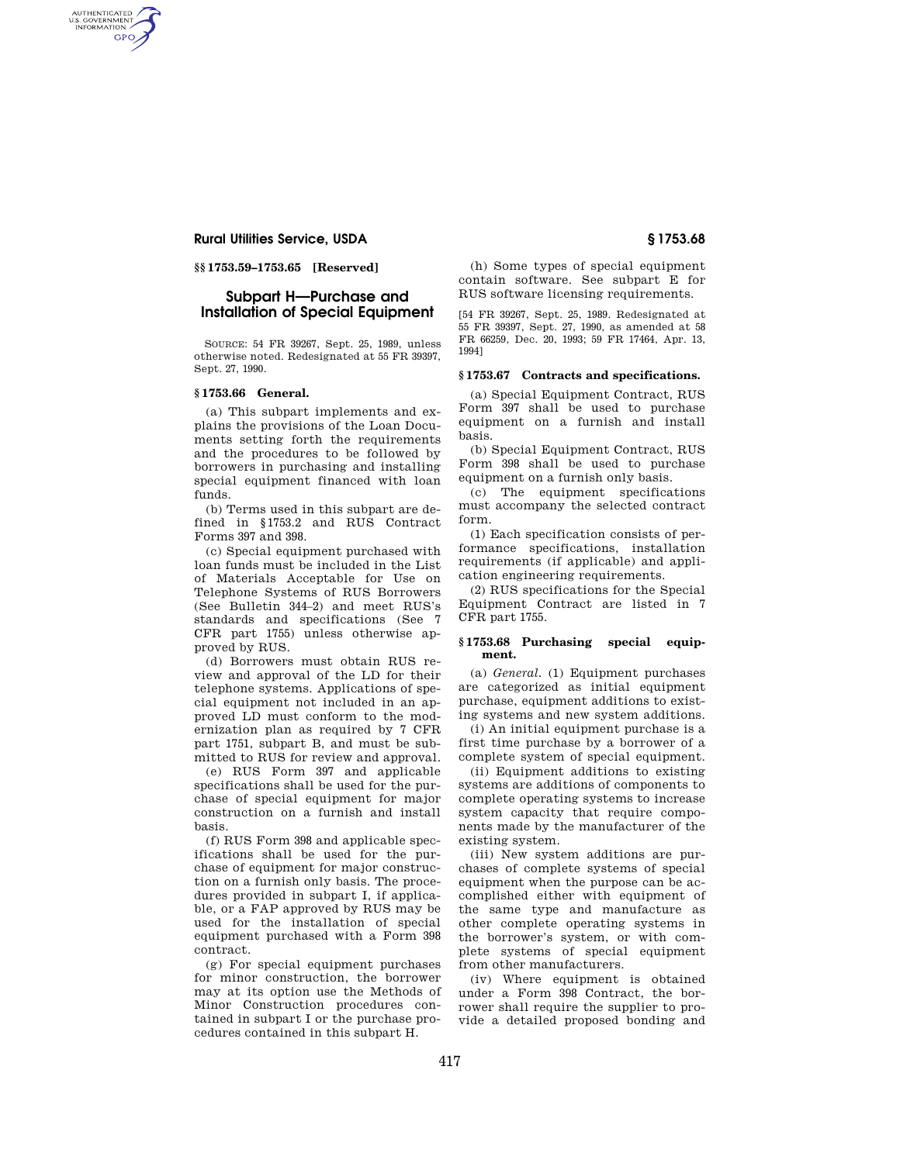# **Rural Utilities Service, USDA § 1753.68**

AUTHENTICATED<br>U.S. GOVERNMENT<br>INFORMATION GPO

**§§ 1753.59–1753.65 [Reserved]** 

# **Subpart H—Purchase and Installation of Special Equipment**

SOURCE: 54 FR 39267, Sept. 25, 1989, unless otherwise noted. Redesignated at 55 FR 39397, Sept. 27, 1990.

## **§ 1753.66 General.**

(a) This subpart implements and explains the provisions of the Loan Documents setting forth the requirements and the procedures to be followed by borrowers in purchasing and installing special equipment financed with loan funds.

(b) Terms used in this subpart are defined in §1753.2 and RUS Contract Forms 397 and 398.

(c) Special equipment purchased with loan funds must be included in the List of Materials Acceptable for Use on Telephone Systems of RUS Borrowers (See Bulletin 344–2) and meet RUS's standards and specifications (See 7 CFR part 1755) unless otherwise approved by RUS.

(d) Borrowers must obtain RUS review and approval of the LD for their telephone systems. Applications of special equipment not included in an approved LD must conform to the modernization plan as required by 7 CFR part 1751, subpart B, and must be submitted to RUS for review and approval.

(e) RUS Form 397 and applicable specifications shall be used for the purchase of special equipment for major construction on a furnish and install basis.

(f) RUS Form 398 and applicable specifications shall be used for the purchase of equipment for major construction on a furnish only basis. The procedures provided in subpart I, if applicable, or a FAP approved by RUS may be used for the installation of special equipment purchased with a Form 398 contract.

(g) For special equipment purchases for minor construction, the borrower may at its option use the Methods of Minor Construction procedures contained in subpart I or the purchase procedures contained in this subpart H.

(h) Some types of special equipment contain software. See subpart E for RUS software licensing requirements.

[54 FR 39267, Sept. 25, 1989. Redesignated at 55 FR 39397, Sept. 27, 1990, as amended at 58 FR 66259, Dec. 20, 1993; 59 FR 17464, Apr. 13, 1994]

### **§ 1753.67 Contracts and specifications.**

(a) Special Equipment Contract, RUS Form 397 shall be used to purchase equipment on a furnish and install basis.

(b) Special Equipment Contract, RUS Form 398 shall be used to purchase equipment on a furnish only basis.

(c) The equipment specifications must accompany the selected contract form.

(1) Each specification consists of performance specifications, installation requirements (if applicable) and application engineering requirements.

(2) RUS specifications for the Special Equipment Contract are listed in 7 CFR part 1755.

### **§ 1753.68 Purchasing special equipment.**

(a) *General.* (1) Equipment purchases are categorized as initial equipment purchase, equipment additions to existing systems and new system additions.

(i) An initial equipment purchase is a first time purchase by a borrower of a complete system of special equipment.

(ii) Equipment additions to existing systems are additions of components to complete operating systems to increase system capacity that require components made by the manufacturer of the existing system.

(iii) New system additions are purchases of complete systems of special equipment when the purpose can be accomplished either with equipment of the same type and manufacture as other complete operating systems in the borrower's system, or with complete systems of special equipment from other manufacturers.

(iv) Where equipment is obtained under a Form 398 Contract, the borrower shall require the supplier to provide a detailed proposed bonding and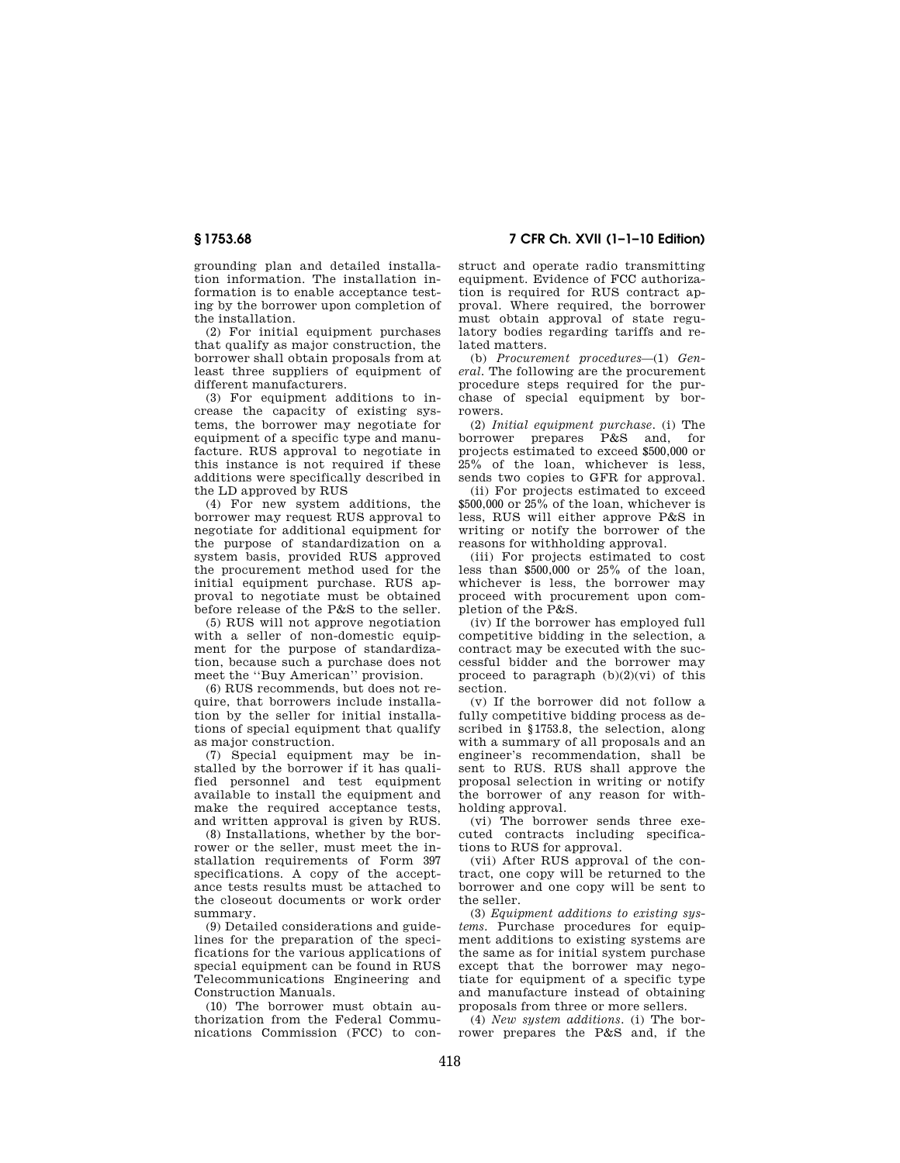grounding plan and detailed installation information. The installation information is to enable acceptance testing by the borrower upon completion of the installation.

(2) For initial equipment purchases that qualify as major construction, the borrower shall obtain proposals from at least three suppliers of equipment of different manufacturers.

(3) For equipment additions to increase the capacity of existing systems, the borrower may negotiate for equipment of a specific type and manufacture. RUS approval to negotiate in this instance is not required if these additions were specifically described in the LD approved by RUS

(4) For new system additions, the borrower may request RUS approval to negotiate for additional equipment for the purpose of standardization on a system basis, provided RUS approved the procurement method used for the initial equipment purchase. RUS approval to negotiate must be obtained before release of the P&S to the seller.

(5) RUS will not approve negotiation with a seller of non-domestic equipment for the purpose of standardization, because such a purchase does not meet the ''Buy American'' provision.

(6) RUS recommends, but does not require, that borrowers include installation by the seller for initial installations of special equipment that qualify as major construction.

(7) Special equipment may be installed by the borrower if it has qualified personnel and test equipment available to install the equipment and make the required acceptance tests, and written approval is given by RUS.

(8) Installations, whether by the borrower or the seller, must meet the installation requirements of Form 397 specifications. A copy of the acceptance tests results must be attached to the closeout documents or work order summary.

(9) Detailed considerations and guidelines for the preparation of the specifications for the various applications of special equipment can be found in RUS Telecommunications Engineering and Construction Manuals.

(10) The borrower must obtain authorization from the Federal Communications Commission (FCC) to con-

**§ 1753.68 7 CFR Ch. XVII (1–1–10 Edition)** 

struct and operate radio transmitting equipment. Evidence of FCC authorization is required for RUS contract approval. Where required, the borrower must obtain approval of state regulatory bodies regarding tariffs and related matters.

(b) *Procurement procedures*—(1) *General.* The following are the procurement procedure steps required for the purchase of special equipment by borrowers.

(2) *Initial equipment purchase.* (i) The borrower prepares P&S and, for projects estimated to exceed \$500,000 or 25% of the loan, whichever is less, sends two copies to GFR for approval.

(ii) For projects estimated to exceed \$500,000 or 25% of the loan, whichever is less, RUS will either approve P&S in writing or notify the borrower of the reasons for withholding approval.

(iii) For projects estimated to cost less than \$500,000 or 25% of the loan, whichever is less, the borrower may proceed with procurement upon completion of the P&S.

(iv) If the borrower has employed full competitive bidding in the selection, a contract may be executed with the successful bidder and the borrower may proceed to paragraph  $(b)(2)(vi)$  of this section.

(v) If the borrower did not follow a fully competitive bidding process as described in §1753.8, the selection, along with a summary of all proposals and an engineer's recommendation, shall be sent to RUS. RUS shall approve the proposal selection in writing or notify the borrower of any reason for withholding approval.

(vi) The borrower sends three executed contracts including specifications to RUS for approval.

(vii) After RUS approval of the contract, one copy will be returned to the borrower and one copy will be sent to the seller.

(3) *Equipment additions to existing systems.* Purchase procedures for equipment additions to existing systems are the same as for initial system purchase except that the borrower may negotiate for equipment of a specific type and manufacture instead of obtaining proposals from three or more sellers.

(4) *New system additions.* (i) The borrower prepares the P&S and, if the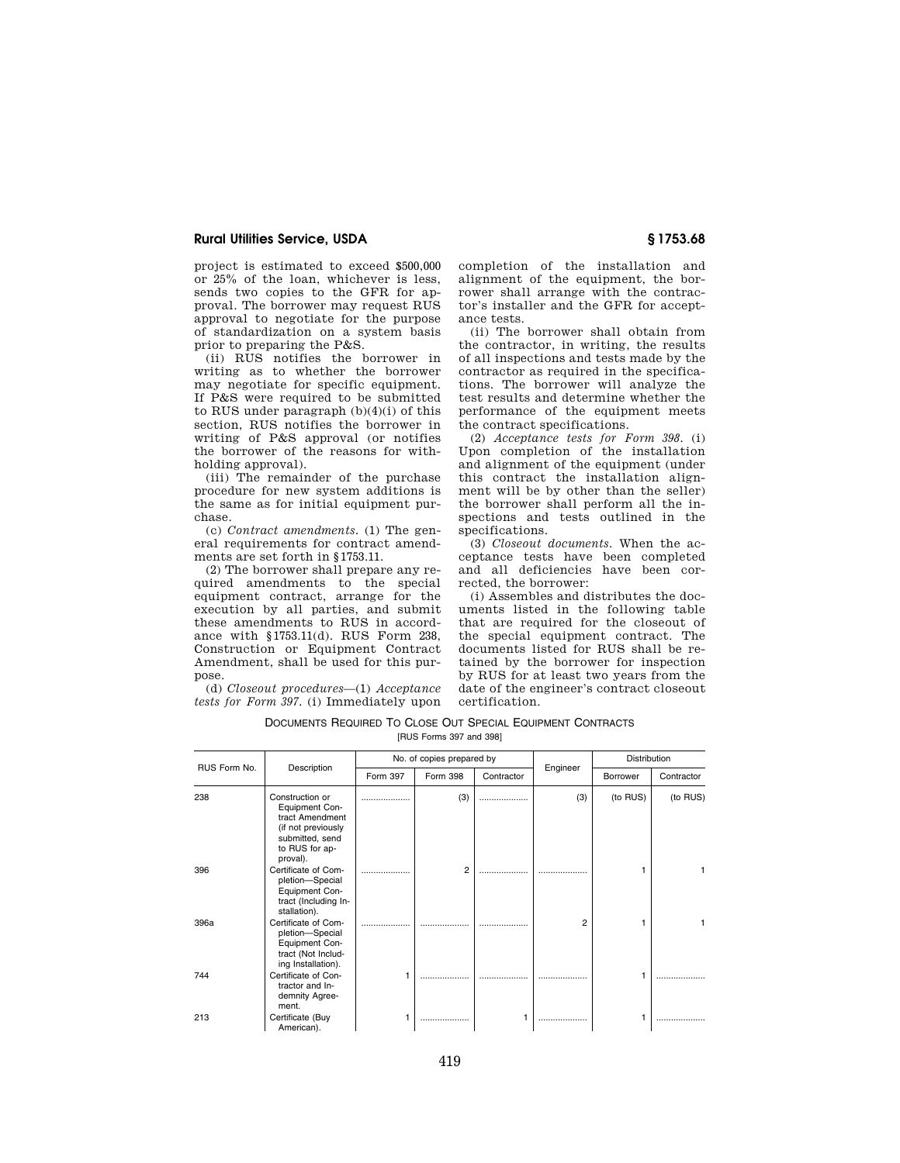## **Rural Utilities Service, USDA § 1753.68**

project is estimated to exceed \$500,000 or 25% of the loan, whichever is less, sends two copies to the GFR for approval. The borrower may request RUS approval to negotiate for the purpose of standardization on a system basis prior to preparing the P&S.

(ii) RUS notifies the borrower in writing as to whether the borrower may negotiate for specific equipment. If P&S were required to be submitted to RUS under paragraph  $(b)(4)(i)$  of this section, RUS notifies the borrower in writing of P&S approval (or notifies the borrower of the reasons for withholding approval).

(iii) The remainder of the purchase procedure for new system additions is the same as for initial equipment purchase.

(c) *Contract amendments.* (1) The general requirements for contract amendments are set forth in §1753.11.

(2) The borrower shall prepare any required amendments to the special equipment contract, arrange for the execution by all parties, and submit these amendments to RUS in accordance with §1753.11(d). RUS Form 238, Construction or Equipment Contract Amendment, shall be used for this purpose.

(d) *Closeout procedures*—(1) *Acceptance tests for Form 397.* (i) Immediately upon completion of the installation and alignment of the equipment, the borrower shall arrange with the contractor's installer and the GFR for acceptance tests.

(ii) The borrower shall obtain from the contractor, in writing, the results of all inspections and tests made by the contractor as required in the specifications. The borrower will analyze the test results and determine whether the performance of the equipment meets the contract specifications.

(2) *Acceptance tests for Form 398.* (i) Upon completion of the installation and alignment of the equipment (under this contract the installation alignment will be by other than the seller) the borrower shall perform all the inspections and tests outlined in the specifications.

(3) *Closeout documents.* When the acceptance tests have been completed and all deficiencies have been corrected, the borrower:

(i) Assembles and distributes the documents listed in the following table that are required for the closeout of the special equipment contract. The documents listed for RUS shall be retained by the borrower for inspection by RUS for at least two years from the date of the engineer's contract closeout certification.

| DOCUMENTS REQUIRED TO CLOSE OUT SPECIAL EQUIPMENT CONTRACTS |  |  |  |  |  |  |  |
|-------------------------------------------------------------|--|--|--|--|--|--|--|
| [RUS Forms 397 and 398]                                     |  |  |  |  |  |  |  |

| RUS Form No. | Description                                                                                                                 | No. of copies prepared by |                |            |          | Distribution |            |
|--------------|-----------------------------------------------------------------------------------------------------------------------------|---------------------------|----------------|------------|----------|--------------|------------|
|              |                                                                                                                             | Form 397                  | Form 398       | Contractor | Engineer | Borrower     | Contractor |
| 238          | Construction or<br>Equipment Con-<br>tract Amendment<br>(if not previously<br>submitted, send<br>to RUS for ap-<br>proval). | .                         | (3)            | .          | (3)      | (to RUS)     | (to RUS)   |
| 396          | Certificate of Com-<br>pletion-Special<br>Equipment Con-<br>tract (Including In-<br>stallation).                            |                           | $\overline{2}$ | .          |          |              | 1          |
| 396a         | Certificate of Com-<br>pletion-Special<br>Equipment Con-<br>tract (Not Includ-<br>ing Installation).                        |                           |                |            | 2        |              | 1          |
| 744          | Certificate of Con-<br>tractor and In-<br>demnity Agree-<br>ment.                                                           |                           |                |            |          |              |            |
| 213          | Certificate (Buy<br>American).                                                                                              |                           |                |            |          |              |            |